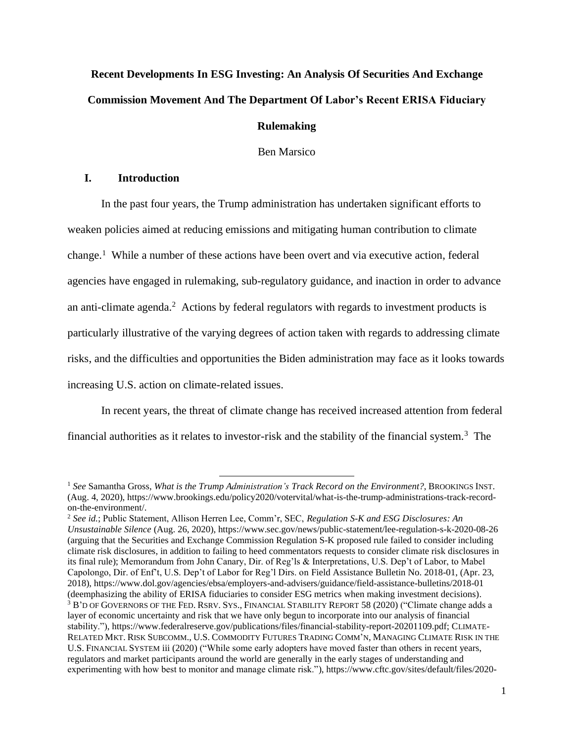# **Recent Developments In ESG Investing: An Analysis Of Securities And Exchange Commission Movement And The Department Of Labor's Recent ERISA Fiduciary**

# **Rulemaking**

Ben Marsico

# **I. Introduction**

In the past four years, the Trump administration has undertaken significant efforts to weaken policies aimed at reducing emissions and mitigating human contribution to climate change.<sup>1</sup> While a number of these actions have been overt and via executive action, federal agencies have engaged in rulemaking, sub-regulatory guidance, and inaction in order to advance an anti-climate agenda. <sup>2</sup> Actions by federal regulators with regards to investment products is particularly illustrative of the varying degrees of action taken with regards to addressing climate risks, and the difficulties and opportunities the Biden administration may face as it looks towards increasing U.S. action on climate-related issues.

In recent years, the threat of climate change has received increased attention from federal financial authorities as it relates to investor-risk and the stability of the financial system.<sup>3</sup> The

<sup>1</sup> *See* Samantha Gross, *What is the Trump Administration's Track Record on the Environment?*, BROOKINGS INST. (Aug. 4, 2020), https://www.brookings.edu/policy2020/votervital/what-is-the-trump-administrations-track-recordon-the-environment/.

<sup>2</sup> *See id.*; Public Statement, Allison Herren Lee, Comm'r, SEC, *Regulation S-K and ESG Disclosures: An Unsustainable Silence* (Aug. 26, 2020), https://www.sec.gov/news/public-statement/lee-regulation-s-k-2020-08-26 (arguing that the Securities and Exchange Commission Regulation S-K proposed rule failed to consider including climate risk disclosures, in addition to failing to heed commentators requests to consider climate risk disclosures in its final rule); Memorandum from John Canary, Dir. of Reg'ls & Interpretations, U.S. Dep't of Labor, to Mabel Capolongo, Dir. of Enf't, U.S. Dep't of Labor for Reg'l Dirs. on Field Assistance Bulletin No. 2018-01, (Apr. 23, 2018), https://www.dol.gov/agencies/ebsa/employers-and-advisers/guidance/field-assistance-bulletins/2018-01 (deemphasizing the ability of ERISA fiduciaries to consider ESG metrics when making investment decisions). <sup>3</sup> B'D OF GOVERNORS OF THE FED. RSRV.SYS.,FINANCIAL STABILITY REPORT 58 (2020) ("Climate change adds a layer of economic uncertainty and risk that we have only begun to incorporate into our analysis of financial stability."), https://www.federalreserve.gov/publications/files/financial-stability-report-20201109.pdf; CLIMATE-RELATED MKT. RISK SUBCOMM., U.S. COMMODITY FUTURES TRADING COMM'N, MANAGING CLIMATE RISK IN THE U.S.FINANCIAL SYSTEM iii (2020) ("While some early adopters have moved faster than others in recent years, regulators and market participants around the world are generally in the early stages of understanding and experimenting with how best to monitor and manage climate risk."), https://www.cftc.gov/sites/default/files/2020-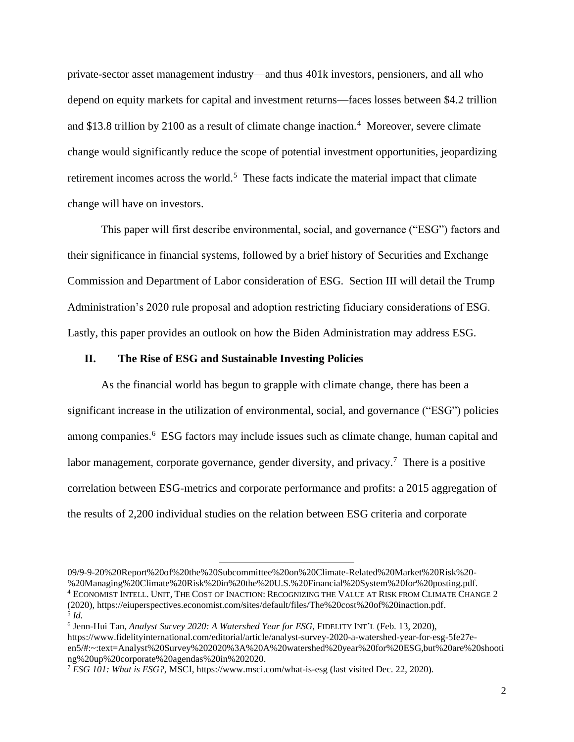private-sector asset management industry—and thus 401k investors, pensioners, and all who depend on equity markets for capital and investment returns—faces losses between \$4.2 trillion and \$13.8 trillion by 2100 as a result of climate change inaction.<sup>4</sup> Moreover, severe climate change would significantly reduce the scope of potential investment opportunities, jeopardizing retirement incomes across the world.<sup>5</sup> These facts indicate the material impact that climate change will have on investors.

This paper will first describe environmental, social, and governance ("ESG") factors and their significance in financial systems, followed by a brief history of Securities and Exchange Commission and Department of Labor consideration of ESG. Section III will detail the Trump Administration's 2020 rule proposal and adoption restricting fiduciary considerations of ESG. Lastly, this paper provides an outlook on how the Biden Administration may address ESG.

## **II. The Rise of ESG and Sustainable Investing Policies**

As the financial world has begun to grapple with climate change, there has been a significant increase in the utilization of environmental, social, and governance ("ESG") policies among companies.<sup>6</sup> ESG factors may include issues such as climate change, human capital and labor management, corporate governance, gender diversity, and privacy.<sup>7</sup> There is a positive correlation between ESG-metrics and corporate performance and profits: a 2015 aggregation of the results of 2,200 individual studies on the relation between ESG criteria and corporate

<sup>09/9-9-20%20</sup>Report%20of%20the%20Subcommittee%20on%20Climate-Related%20Market%20Risk%20- %20Managing%20Climate%20Risk%20in%20the%20U.S.%20Financial%20System%20for%20posting.pdf. <sup>4</sup> ECONOMIST INTELL. UNIT, THE COST OF INACTION: RECOGNIZING THE VALUE AT RISK FROM CLIMATE CHANGE 2 (2020), https://eiuperspectives.economist.com/sites/default/files/The%20cost%20of%20inaction.pdf. 5 *Id.*

<sup>6</sup> Jenn-Hui Tan, *Analyst Survey 2020: A Watershed Year for ESG*, FIDELITY INT'L (Feb. 13, 2020), https://www.fidelityinternational.com/editorial/article/analyst-survey-2020-a-watershed-year-for-esg-5fe27een5/#:~:text=Analyst%20Survey%202020%3A%20A%20watershed%20year%20for%20ESG,but%20are%20shooti ng%20up%20corporate%20agendas%20in%202020.

<sup>7</sup> *ESG 101: What is ESG?*, MSCI, https://www.msci.com/what-is-esg (last visited Dec. 22, 2020).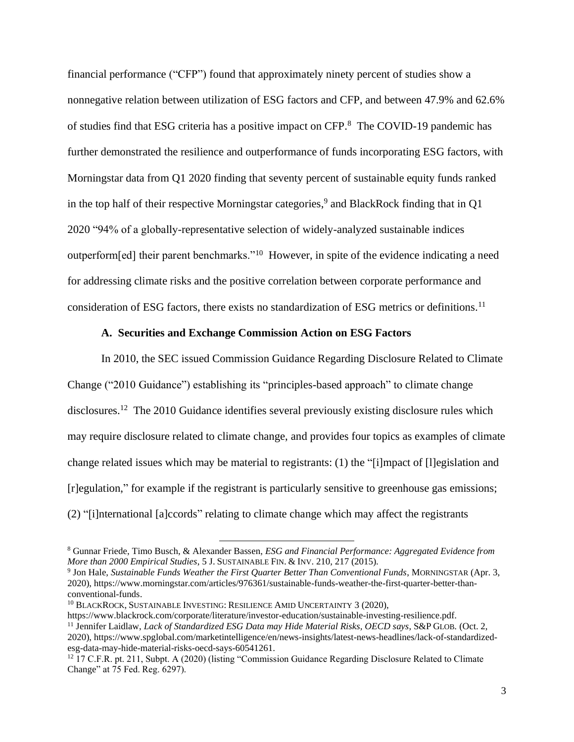financial performance ("CFP") found that approximately ninety percent of studies show a nonnegative relation between utilization of ESG factors and CFP, and between 47.9% and 62.6% of studies find that ESG criteria has a positive impact on CFP. <sup>8</sup> The COVID-19 pandemic has further demonstrated the resilience and outperformance of funds incorporating ESG factors, with Morningstar data from Q1 2020 finding that seventy percent of sustainable equity funds ranked in the top half of their respective Morningstar categories, 9 and BlackRock finding that in Q1 2020 "94% of a globally-representative selection of widely-analyzed sustainable indices outperform[ed] their parent benchmarks."<sup>10</sup> However, in spite of the evidence indicating a need for addressing climate risks and the positive correlation between corporate performance and consideration of ESG factors, there exists no standardization of ESG metrics or definitions.<sup>11</sup>

## **A. Securities and Exchange Commission Action on ESG Factors**

In 2010, the SEC issued Commission Guidance Regarding Disclosure Related to Climate Change ("2010 Guidance") establishing its "principles-based approach" to climate change disclosures.<sup>12</sup> The 2010 Guidance identifies several previously existing disclosure rules which may require disclosure related to climate change, and provides four topics as examples of climate change related issues which may be material to registrants: (1) the "[i]mpact of [l]egislation and [r]egulation," for example if the registrant is particularly sensitive to greenhouse gas emissions; (2) "[i]nternational [a]ccords" relating to climate change which may affect the registrants

<sup>8</sup> Gunnar Friede, Timo Busch, & Alexander Bassen, *ESG and Financial Performance: Aggregated Evidence from More than 2000 Empirical Studies*, 5 J.SUSTAINABLE FIN. & INV. 210, 217 (2015).

<sup>9</sup> Jon Hale, *Sustainable Funds Weather the First Quarter Better Than Conventional Funds*, MORNINGSTAR (Apr. 3, 2020), https://www.morningstar.com/articles/976361/sustainable-funds-weather-the-first-quarter-better-thanconventional-funds.

<sup>&</sup>lt;sup>10</sup> BLACKROCK, SUSTAINABLE INVESTING: RESILIENCE AMID UNCERTAINTY 3 (2020),

https://www.blackrock.com/corporate/literature/investor-education/sustainable-investing-resilience.pdf. <sup>11</sup> Jennifer Laidlaw, *Lack of Standardized ESG Data may Hide Material Risks, OECD says*, S&P GLOB. (Oct. 2, 2020), https://www.spglobal.com/marketintelligence/en/news-insights/latest-news-headlines/lack-of-standardizedesg-data-may-hide-material-risks-oecd-says-60541261.

<sup>&</sup>lt;sup>12</sup> 17 C.F.R. pt. 211, Subpt. A (2020) (listing "Commission Guidance Regarding Disclosure Related to Climate Change" at 75 Fed. Reg. 6297).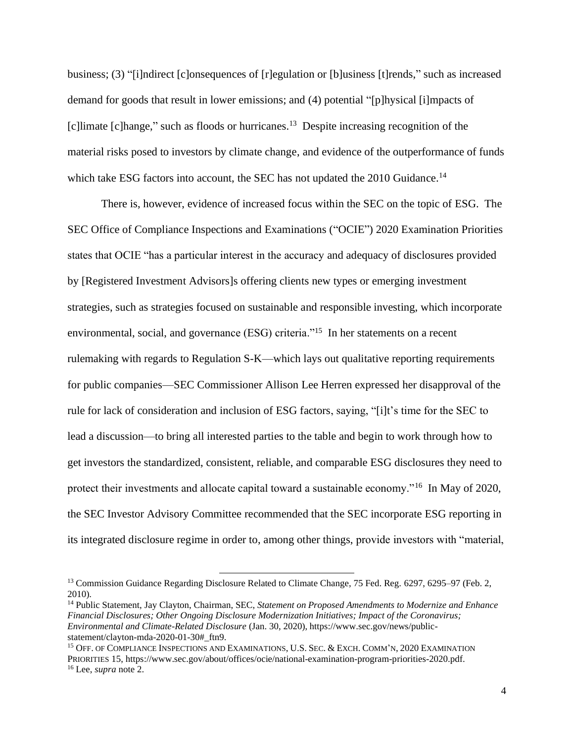business; (3) "[i]ndirect [c]onsequences of [r]egulation or [b]usiness [t]rends," such as increased demand for goods that result in lower emissions; and (4) potential "[p]hysical [i]mpacts of [c]limate [c]hange," such as floods or hurricanes.<sup>13</sup> Despite increasing recognition of the material risks posed to investors by climate change, and evidence of the outperformance of funds which take ESG factors into account, the SEC has not updated the 2010 Guidance.<sup>14</sup>

There is, however, evidence of increased focus within the SEC on the topic of ESG. The SEC Office of Compliance Inspections and Examinations ("OCIE") 2020 Examination Priorities states that OCIE "has a particular interest in the accuracy and adequacy of disclosures provided by [Registered Investment Advisors]s offering clients new types or emerging investment strategies, such as strategies focused on sustainable and responsible investing, which incorporate environmental, social, and governance (ESG) criteria."<sup>15</sup> In her statements on a recent rulemaking with regards to Regulation S-K—which lays out qualitative reporting requirements for public companies—SEC Commissioner Allison Lee Herren expressed her disapproval of the rule for lack of consideration and inclusion of ESG factors, saying, "[i]t's time for the SEC to lead a discussion—to bring all interested parties to the table and begin to work through how to get investors the standardized, consistent, reliable, and comparable ESG disclosures they need to protect their investments and allocate capital toward a sustainable economy."<sup>16</sup> In May of 2020, the SEC Investor Advisory Committee recommended that the SEC incorporate ESG reporting in its integrated disclosure regime in order to, among other things, provide investors with "material,

<sup>&</sup>lt;sup>13</sup> Commission Guidance Regarding Disclosure Related to Climate Change, 75 Fed. Reg. 6297, 6295–97 (Feb. 2, 2010).

<sup>14</sup> Public Statement, Jay Clayton, Chairman, SEC, *Statement on Proposed Amendments to Modernize and Enhance Financial Disclosures; Other Ongoing Disclosure Modernization Initiatives; Impact of the Coronavirus; Environmental and Climate-Related Disclosure* (Jan. 30, 2020), https://www.sec.gov/news/publicstatement/clayton-mda-2020-01-30#\_ftn9.

<sup>&</sup>lt;sup>15</sup> OFF. OF COMPLIANCE INSPECTIONS AND EXAMINATIONS, U.S. SEC. & EXCH. COMM'N, 2020 EXAMINATION PRIORITIES 15, https://www.sec.gov/about/offices/ocie/national-examination-program-priorities-2020.pdf. <sup>16</sup> Lee, *supra* note 2.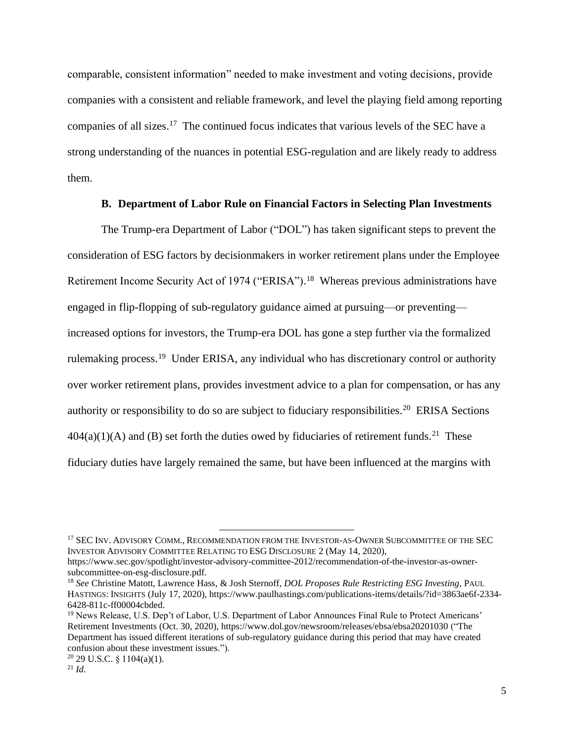comparable, consistent information" needed to make investment and voting decisions, provide companies with a consistent and reliable framework, and level the playing field among reporting companies of all sizes. <sup>17</sup> The continued focus indicates that various levels of the SEC have a strong understanding of the nuances in potential ESG-regulation and are likely ready to address them.

#### **B. Department of Labor Rule on Financial Factors in Selecting Plan Investments**

The Trump-era Department of Labor ("DOL") has taken significant steps to prevent the consideration of ESG factors by decisionmakers in worker retirement plans under the Employee Retirement Income Security Act of 1974 ("ERISA").<sup>18</sup> Whereas previous administrations have engaged in flip-flopping of sub-regulatory guidance aimed at pursuing—or preventing increased options for investors, the Trump-era DOL has gone a step further via the formalized rulemaking process.<sup>19</sup> Under ERISA, any individual who has discretionary control or authority over worker retirement plans, provides investment advice to a plan for compensation, or has any authority or responsibility to do so are subject to fiduciary responsibilities.<sup>20</sup> ERISA Sections  $404(a)(1)(A)$  and (B) set forth the duties owed by fiduciaries of retirement funds.<sup>21</sup> These fiduciary duties have largely remained the same, but have been influenced at the margins with

<sup>&</sup>lt;sup>17</sup> SEC INV. ADVISORY COMM., RECOMMENDATION FROM THE INVESTOR-AS-OWNER SUBCOMMITTEE OF THE SEC INVESTOR ADVISORY COMMITTEE RELATING TO ESG DISCLOSURE 2 (May 14, 2020),

https://www.sec.gov/spotlight/investor-advisory-committee-2012/recommendation-of-the-investor-as-ownersubcommittee-on-esg-disclosure.pdf.

<sup>18</sup> *See* Christine Matott, Lawrence Hass, & Josh Sternoff, *DOL Proposes Rule Restricting ESG Investing*, PAUL HASTINGS: INSIGHTS (July 17, 2020), https://www.paulhastings.com/publications-items/details/?id=3863ae6f-2334- 6428-811c-ff00004cbded.

<sup>&</sup>lt;sup>19</sup> News Release, U.S. Dep't of Labor, U.S. Department of Labor Announces Final Rule to Protect Americans' Retirement Investments (Oct. 30, 2020), https://www.dol.gov/newsroom/releases/ebsa/ebsa20201030 ("The Department has issued different iterations of sub-regulatory guidance during this period that may have created confusion about these investment issues.").

 $20$  29 U.S.C. § 1104(a)(1).

<sup>21</sup> *Id.*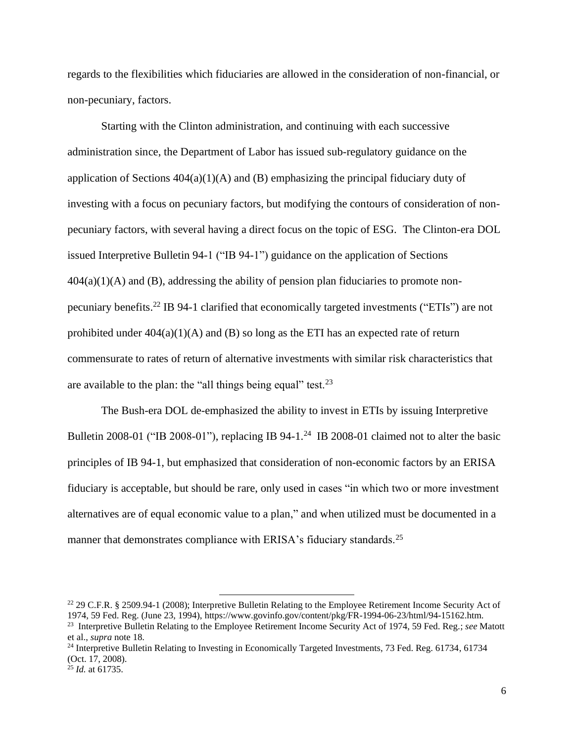regards to the flexibilities which fiduciaries are allowed in the consideration of non-financial, or non-pecuniary, factors.

Starting with the Clinton administration, and continuing with each successive administration since, the Department of Labor has issued sub-regulatory guidance on the application of Sections  $404(a)(1)(A)$  and (B) emphasizing the principal fiduciary duty of investing with a focus on pecuniary factors, but modifying the contours of consideration of nonpecuniary factors, with several having a direct focus on the topic of ESG. The Clinton-era DOL issued Interpretive Bulletin 94-1 ("IB 94-1") guidance on the application of Sections  $404(a)(1)(A)$  and (B), addressing the ability of pension plan fiduciaries to promote nonpecuniary benefits.<sup>22</sup> IB 94-1 clarified that economically targeted investments ("ETIs") are not prohibited under  $404(a)(1)(A)$  and (B) so long as the ETI has an expected rate of return commensurate to rates of return of alternative investments with similar risk characteristics that are available to the plan: the "all things being equal" test.  $23$ 

The Bush-era DOL de-emphasized the ability to invest in ETIs by issuing Interpretive Bulletin 2008-01 ("IB 2008-01"), replacing IB 94-1.<sup>24</sup> IB 2008-01 claimed not to alter the basic principles of IB 94-1, but emphasized that consideration of non-economic factors by an ERISA fiduciary is acceptable, but should be rare, only used in cases "in which two or more investment alternatives are of equal economic value to a plan," and when utilized must be documented in a manner that demonstrates compliance with ERISA's fiduciary standards.<sup>25</sup>

<sup>&</sup>lt;sup>22</sup> 29 C.F.R. § 2509.94-1 (2008); Interpretive Bulletin Relating to the Employee Retirement Income Security Act of 1974, 59 Fed. Reg. (June 23, 1994), https://www.govinfo.gov/content/pkg/FR-1994-06-23/html/94-15162.htm. <sup>23</sup> Interpretive Bulletin Relating to the Employee Retirement Income Security Act of 1974, 59 Fed. Reg.; *see* Matott et al., *supra* note 18.

<sup>&</sup>lt;sup>24</sup> Interpretive Bulletin Relating to Investing in Economically Targeted Investments, 73 Fed. Reg. 61734, 61734 (Oct. 17, 2008).

<sup>25</sup> *Id.* at 61735.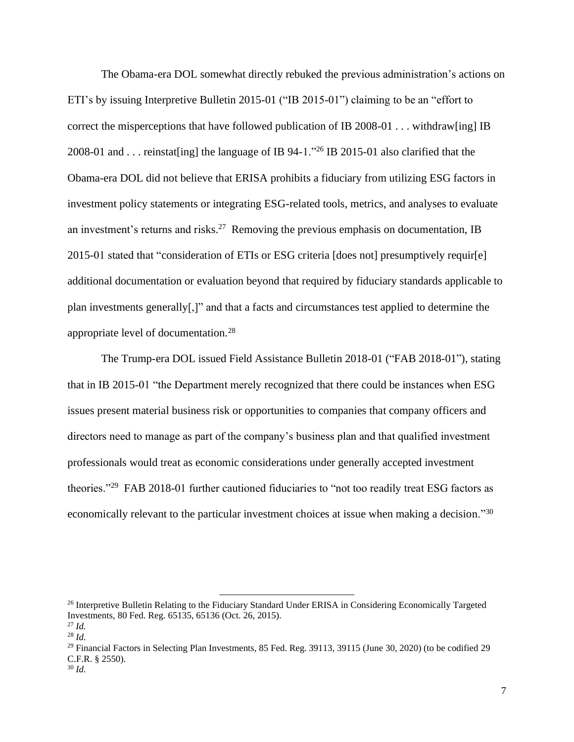The Obama-era DOL somewhat directly rebuked the previous administration's actions on ETI's by issuing Interpretive Bulletin 2015-01 ("IB 2015-01") claiming to be an "effort to correct the misperceptions that have followed publication of IB 2008-01 . . . withdraw[ing] IB 2008-01 and . . . reinstat[ing] the language of IB 94-1."<sup>26</sup> IB 2015-01 also clarified that the Obama-era DOL did not believe that ERISA prohibits a fiduciary from utilizing ESG factors in investment policy statements or integrating ESG-related tools, metrics, and analyses to evaluate an investment's returns and risks.<sup>27</sup> Removing the previous emphasis on documentation, IB 2015-01 stated that "consideration of ETIs or ESG criteria [does not] presumptively requir[e] additional documentation or evaluation beyond that required by fiduciary standards applicable to plan investments generally[,]" and that a facts and circumstances test applied to determine the appropriate level of documentation.<sup>28</sup>

The Trump-era DOL issued Field Assistance Bulletin 2018-01 ("FAB 2018-01"), stating that in IB 2015-01 "the Department merely recognized that there could be instances when ESG issues present material business risk or opportunities to companies that company officers and directors need to manage as part of the company's business plan and that qualified investment professionals would treat as economic considerations under generally accepted investment theories."<sup>29</sup> FAB 2018-01 further cautioned fiduciaries to "not too readily treat ESG factors as economically relevant to the particular investment choices at issue when making a decision."<sup>30</sup>

<sup>&</sup>lt;sup>26</sup> Interpretive Bulletin Relating to the Fiduciary Standard Under ERISA in Considering Economically Targeted Investments, 80 Fed. Reg. 65135, 65136 (Oct. 26, 2015). <sup>27</sup> *Id.*

<sup>28</sup> *Id.*

<sup>&</sup>lt;sup>29</sup> Financial Factors in Selecting Plan Investments, 85 Fed. Reg. 39113, 39115 (June 30, 2020) (to be codified 29 C.F.R. § 2550).

<sup>30</sup> *Id.*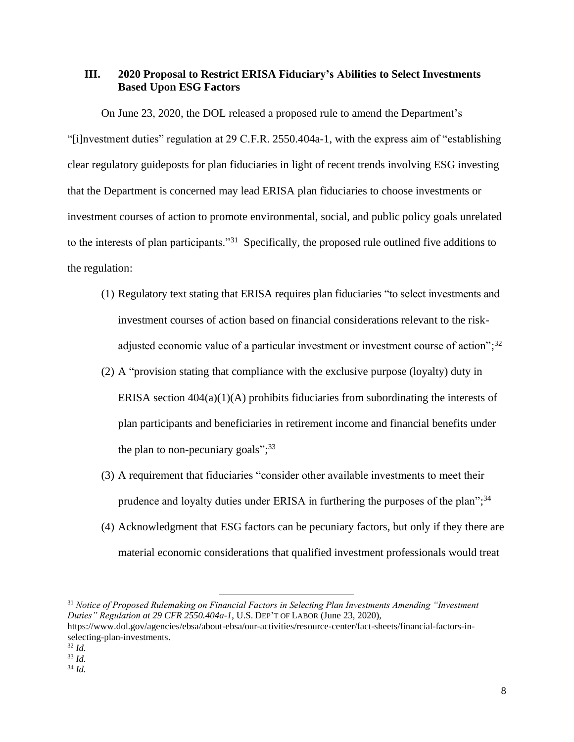# **III. 2020 Proposal to Restrict ERISA Fiduciary's Abilities to Select Investments Based Upon ESG Factors**

On June 23, 2020, the DOL released a proposed rule to amend the Department's "[i]nvestment duties" regulation at 29 C.F.R. 2550.404a-1, with the express aim of "establishing clear regulatory guideposts for plan fiduciaries in light of recent trends involving ESG investing that the Department is concerned may lead ERISA plan fiduciaries to choose investments or investment courses of action to promote environmental, social, and public policy goals unrelated to the interests of plan participants."<sup>31</sup> Specifically, the proposed rule outlined five additions to the regulation:

- (1) Regulatory text stating that ERISA requires plan fiduciaries "to select investments and investment courses of action based on financial considerations relevant to the riskadjusted economic value of a particular investment or investment course of action";<sup>32</sup>
- (2) A "provision stating that compliance with the exclusive purpose (loyalty) duty in ERISA section  $404(a)(1)(A)$  prohibits fiduciaries from subordinating the interests of plan participants and beneficiaries in retirement income and financial benefits under the plan to non-pecuniary goals"; $33$
- (3) A requirement that fiduciaries "consider other available investments to meet their prudence and loyalty duties under ERISA in furthering the purposes of the plan";<sup>34</sup>
- (4) Acknowledgment that ESG factors can be pecuniary factors, but only if they there are material economic considerations that qualified investment professionals would treat

<sup>32</sup> *Id.*

<sup>34</sup> *Id.*

<sup>31</sup> *Notice of Proposed Rulemaking on Financial Factors in Selecting Plan Investments Amending "Investment Duties" Regulation at 29 CFR 2550.404a-1*, U.S. DEP'T OF LABOR (June 23, 2020), https://www.dol.gov/agencies/ebsa/about-ebsa/our-activities/resource-center/fact-sheets/financial-factors-inselecting-plan-investments.

<sup>33</sup> *Id.*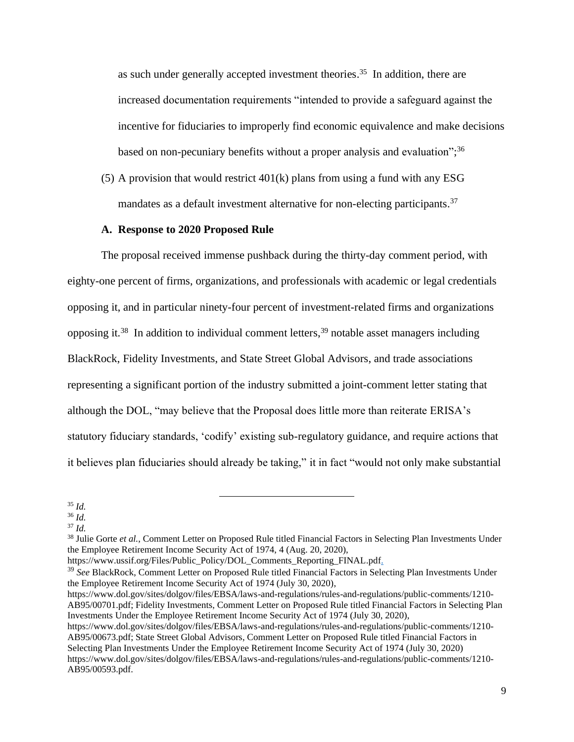as such under generally accepted investment theories.<sup>35</sup> In addition, there are increased documentation requirements "intended to provide a safeguard against the incentive for fiduciaries to improperly find economic equivalence and make decisions based on non-pecuniary benefits without a proper analysis and evaluation";<sup>36</sup>

(5) A provision that would restrict 401(k) plans from using a fund with any ESG mandates as a default investment alternative for non-electing participants.<sup>37</sup>

#### **A. Response to 2020 Proposed Rule**

The proposal received immense pushback during the thirty-day comment period, with eighty-one percent of firms, organizations, and professionals with academic or legal credentials opposing it, and in particular ninety-four percent of investment-related firms and organizations opposing it.<sup>38</sup> In addition to individual comment letters,<sup>39</sup> notable asset managers including BlackRock, Fidelity Investments, and State Street Global Advisors, and trade associations representing a significant portion of the industry submitted a joint-comment letter stating that although the DOL, "may believe that the Proposal does little more than reiterate ERISA's statutory fiduciary standards, 'codify' existing sub-regulatory guidance, and require actions that it believes plan fiduciaries should already be taking," it in fact "would not only make substantial

<sup>37</sup> *Id.*

https://www.dol.gov/sites/dolgov/files/EBSA/laws-and-regulations/rules-and-regulations/public-comments/1210- AB95/00701.pdf; Fidelity Investments, Comment Letter on Proposed Rule titled Financial Factors in Selecting Plan Investments Under the Employee Retirement Income Security Act of 1974 (July 30, 2020),

https://www.dol.gov/sites/dolgov/files/EBSA/laws-and-regulations/rules-and-regulations/public-comments/1210- AB95/00673.pdf; State Street Global Advisors, Comment Letter on Proposed Rule titled Financial Factors in Selecting Plan Investments Under the Employee Retirement Income Security Act of 1974 (July 30, 2020) https://www.dol.gov/sites/dolgov/files/EBSA/laws-and-regulations/rules-and-regulations/public-comments/1210- AB95/00593.pdf.

<sup>35</sup> *Id.*

<sup>36</sup> *Id.*

<sup>38</sup> Julie Gorte *et al.*, Comment Letter on Proposed Rule titled Financial Factors in Selecting Plan Investments Under the Employee Retirement Income Security Act of 1974, 4 (Aug. 20, 2020),

https://www.ussif.org/Files/Public\_Policy/DOL\_Comments\_Reporting\_FINAL.pdf.

<sup>39</sup> *See* BlackRock, Comment Letter on Proposed Rule titled Financial Factors in Selecting Plan Investments Under the Employee Retirement Income Security Act of 1974 (July 30, 2020),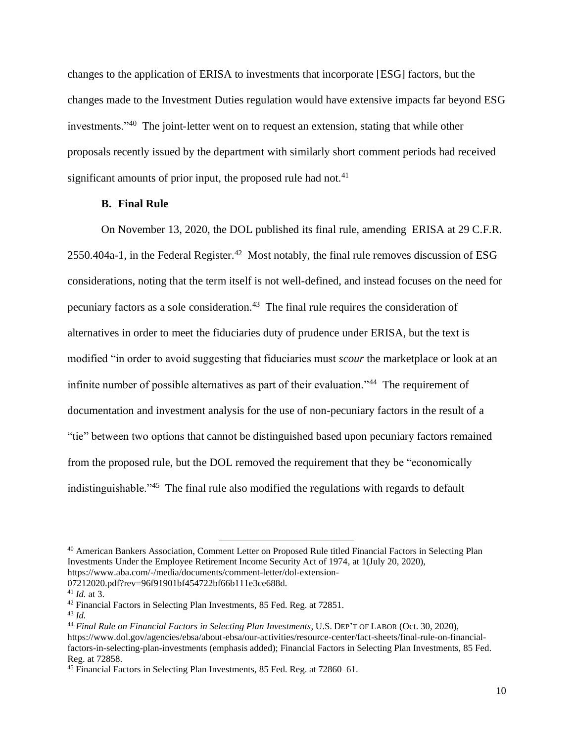changes to the application of ERISA to investments that incorporate [ESG] factors, but the changes made to the Investment Duties regulation would have extensive impacts far beyond ESG investments."<sup>40</sup> The joint-letter went on to request an extension, stating that while other proposals recently issued by the department with similarly short comment periods had received significant amounts of prior input, the proposed rule had not. $41$ 

## **B. Final Rule**

On November 13, 2020, the DOL published its final rule, amending ERISA at 29 C.F.R.  $2550.404a-1$ , in the Federal Register.<sup>42</sup> Most notably, the final rule removes discussion of ESG considerations, noting that the term itself is not well-defined, and instead focuses on the need for pecuniary factors as a sole consideration. <sup>43</sup> The final rule requires the consideration of alternatives in order to meet the fiduciaries duty of prudence under ERISA, but the text is modified "in order to avoid suggesting that fiduciaries must *scour* the marketplace or look at an infinite number of possible alternatives as part of their evaluation."<sup>44</sup> The requirement of documentation and investment analysis for the use of non-pecuniary factors in the result of a "tie" between two options that cannot be distinguished based upon pecuniary factors remained from the proposed rule, but the DOL removed the requirement that they be "economically indistinguishable."<sup>45</sup> The final rule also modified the regulations with regards to default

<sup>40</sup> American Bankers Association, Comment Letter on Proposed Rule titled Financial Factors in Selecting Plan Investments Under the Employee Retirement Income Security Act of 1974, at 1(July 20, 2020), https://www.aba.com/-/media/documents/comment-letter/dol-extension-

<sup>07212020.</sup>pdf?rev=96f91901bf454722bf66b111e3ce688d.

<sup>41</sup> *Id.* at 3.

<sup>&</sup>lt;sup>42</sup> Financial Factors in Selecting Plan Investments, 85 Fed. Reg. at 72851.

<sup>43</sup> *Id.*

<sup>44</sup> *Final Rule on Financial Factors in Selecting Plan Investments*, U.S. DEP'T OF LABOR (Oct. 30, 2020), https://www.dol.gov/agencies/ebsa/about-ebsa/our-activities/resource-center/fact-sheets/final-rule-on-financialfactors-in-selecting-plan-investments (emphasis added); Financial Factors in Selecting Plan Investments, 85 Fed. Reg. at 72858.

<sup>45</sup> Financial Factors in Selecting Plan Investments, 85 Fed. Reg. at 72860–61.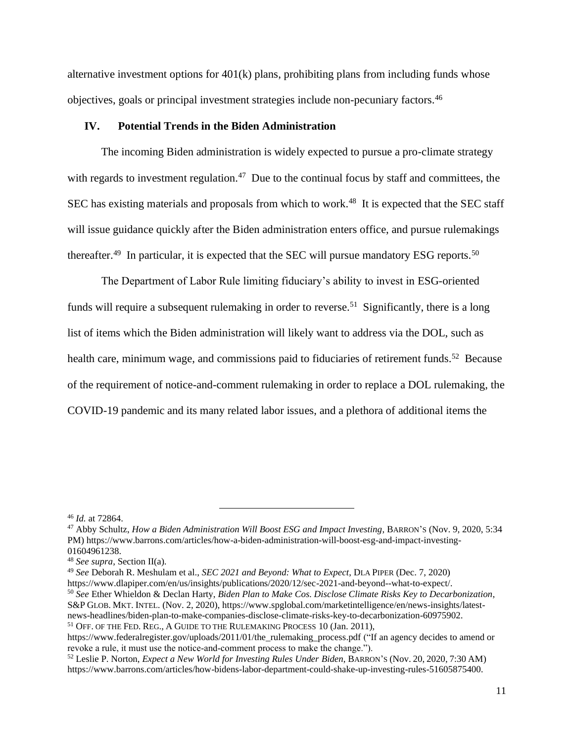alternative investment options for 401(k) plans, prohibiting plans from including funds whose objectives, goals or principal investment strategies include non-pecuniary factors.<sup>46</sup>

#### **IV. Potential Trends in the Biden Administration**

The incoming Biden administration is widely expected to pursue a pro-climate strategy with regards to investment regulation.<sup>47</sup> Due to the continual focus by staff and committees, the SEC has existing materials and proposals from which to work.<sup>48</sup> It is expected that the SEC staff will issue guidance quickly after the Biden administration enters office, and pursue rulemakings thereafter.<sup>49</sup> In particular, it is expected that the SEC will pursue mandatory ESG reports.<sup>50</sup>

The Department of Labor Rule limiting fiduciary's ability to invest in ESG-oriented funds will require a subsequent rulemaking in order to reverse.<sup>51</sup> Significantly, there is a long list of items which the Biden administration will likely want to address via the DOL, such as health care, minimum wage, and commissions paid to fiduciaries of retirement funds.<sup>52</sup> Because of the requirement of notice-and-comment rulemaking in order to replace a DOL rulemaking, the COVID-19 pandemic and its many related labor issues, and a plethora of additional items the

<sup>50</sup> *See* Ether Whieldon & Declan Harty, *Biden Plan to Make Cos. Disclose Climate Risks Key to Decarbonization*, S&P GLOB. MKT. INTEL. (Nov. 2, 2020), https://www.spglobal.com/marketintelligence/en/news-insights/latestnews-headlines/biden-plan-to-make-companies-disclose-climate-risks-key-to-decarbonization-60975902. <sup>51</sup> OFF. OF THE FED. REG., A GUIDE TO THE RULEMAKING PROCESS 10 (Jan. 2011),

<sup>46</sup> *Id.* at 72864.

<sup>47</sup> Abby Schultz, *How a Biden Administration Will Boost ESG and Impact Investing*, BARRON'S (Nov. 9, 2020, 5:34 PM) https://www.barrons.com/articles/how-a-biden-administration-will-boost-esg-and-impact-investing-01604961238.

<sup>48</sup> *See supra*, Section II(a).

<sup>49</sup> *See* Deborah R. Meshulam et al., *SEC 2021 and Beyond: What to Expect*, DLA PIPER (Dec. 7, 2020)

https://www.dlapiper.com/en/us/insights/publications/2020/12/sec-2021-and-beyond--what-to-expect/.

https://www.federalregister.gov/uploads/2011/01/the\_rulemaking\_process.pdf ("If an agency decides to amend or revoke a rule, it must use the notice-and-comment process to make the change.").

<sup>52</sup> Leslie P. Norton, *Expect a New World for Investing Rules Under Biden*, BARRON'S (Nov. 20, 2020, 7:30 AM) https://www.barrons.com/articles/how-bidens-labor-department-could-shake-up-investing-rules-51605875400.